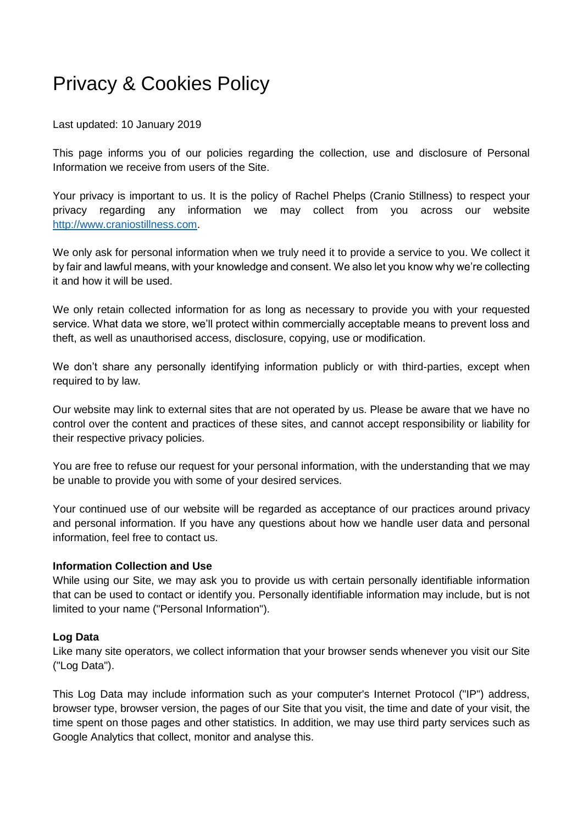# Privacy & Cookies Policy

Last updated: 10 January 2019

This page informs you of our policies regarding the collection, use and disclosure of Personal Information we receive from users of the Site.

Your privacy is important to us. It is the policy of Rachel Phelps (Cranio Stillness) to respect your privacy regarding any information we may collect from you across our website [http://www.craniostillness.com.](http://www.craniostillness.com/)

We only ask for personal information when we truly need it to provide a service to you. We collect it by fair and lawful means, with your knowledge and consent. We also let you know why we're collecting it and how it will be used.

We only retain collected information for as long as necessary to provide you with your requested service. What data we store, we'll protect within commercially acceptable means to prevent loss and theft, as well as unauthorised access, disclosure, copying, use or modification.

We don't share any personally identifying information publicly or with third-parties, except when required to by law.

Our website may link to external sites that are not operated by us. Please be aware that we have no control over the content and practices of these sites, and cannot accept responsibility or liability for their respective privacy policies.

You are free to refuse our request for your personal information, with the understanding that we may be unable to provide you with some of your desired services.

Your continued use of our website will be regarded as acceptance of our practices around privacy and personal information. If you have any questions about how we handle user data and personal information, feel free to contact us.

## **Information Collection and Use**

While using our Site, we may ask you to provide us with certain personally identifiable information that can be used to contact or identify you. Personally identifiable information may include, but is not limited to your name ("Personal Information").

## **Log Data**

Like many site operators, we collect information that your browser sends whenever you visit our Site ("Log Data").

This Log Data may include information such as your computer's Internet Protocol ("IP") address, browser type, browser version, the pages of our Site that you visit, the time and date of your visit, the time spent on those pages and other statistics. In addition, we may use third party services such as Google Analytics that collect, monitor and analyse this.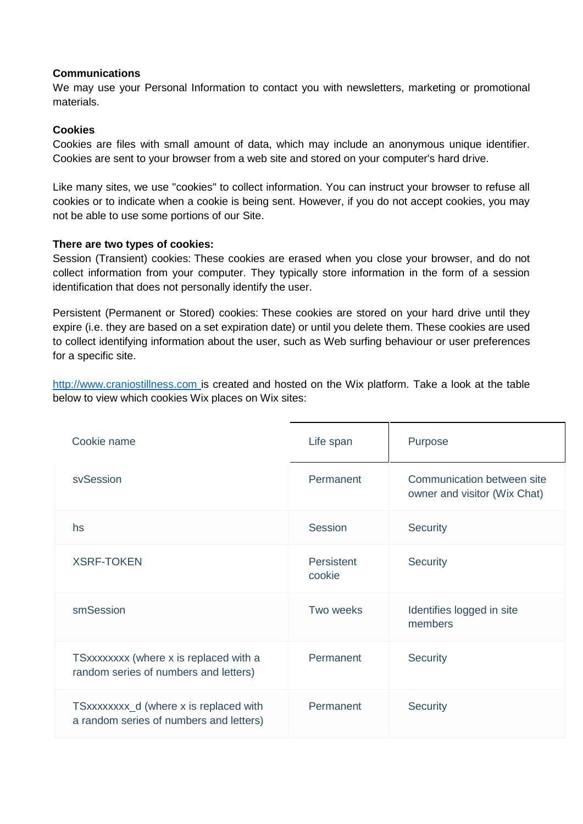## **Communications**

We may use your Personal Information to contact you with newsletters, marketing or promotional materials.

## **Cookies**

Cookies are files with small amount of data, which may include an anonymous unique identifier. Cookies are sent to your browser from a web site and stored on your computer's hard drive.

Like many sites, we use "cookies" to collect information. You can instruct your browser to refuse all cookies or to indicate when a cookie is being sent. However, if you do not accept cookies, you may not be able to use some portions of our Site.

#### **There are two types of cookies:**

Session (Transient) cookies: These cookies are erased when you close your browser, and do not collect information from your computer. They typically store information in the form of a session identification that does not personally identify the user.

Persistent (Permanent or Stored) cookies: These cookies are stored on your hard drive until they expire (i.e. they are based on a set expiration date) or until you delete them. These cookies are used to collect identifying information about the user, such as Web surfing behaviour or user preferences for a specific site.

[http://www.craniostillness.com](http://www.craniostillness.com/) is created and hosted on the Wix platform. Take a look at the table below to view which cookies Wix places on Wix sites:

| Cookie name                                                                       | Life span                   | Purpose                                                    |
|-----------------------------------------------------------------------------------|-----------------------------|------------------------------------------------------------|
| svSession                                                                         | Permanent                   | Communication between site<br>owner and visitor (Wix Chat) |
| hs                                                                                | Session                     | <b>Security</b>                                            |
| <b>XSRF-TOKEN</b>                                                                 | <b>Persistent</b><br>cookie | <b>Security</b>                                            |
| smSession                                                                         | Two weeks                   | Identifies logged in site<br>members                       |
| TSxxxxxxxx (where x is replaced with a<br>random series of numbers and letters)   | Permanent                   | <b>Security</b>                                            |
| TSxxxxxxxx_d (where x is replaced with<br>a random series of numbers and letters) | Permanent                   | <b>Security</b>                                            |